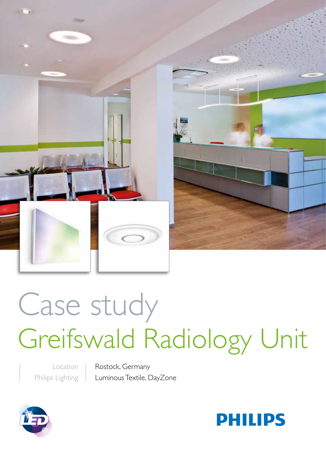

# Case study Greifswald Radiology Unit

Location Philips Lighting Rostock, Germany Luminous Textile, DayZone



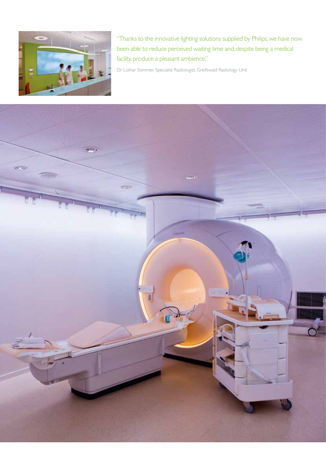

"Thanks to the innovative lighting solutions supplied by Philips, we have now been able to reduce perceived waiting time and, despite being a medical facility, produce a pleasant ambience."

Dr Lothar Sommer, Specialist Radiologist, Greifswald Radiology Unit

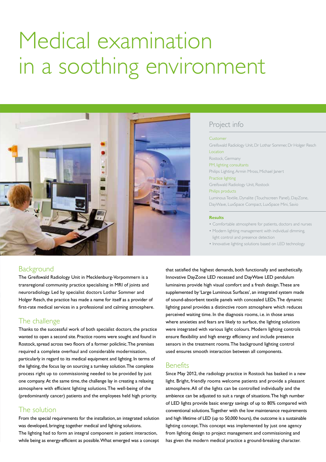# Medical examination in a soothing environment



# Project info

Customer Greifswald Radiology Unit, Dr Lothar Sommer, Dr Holger Resch **Location** Rostock, Germany PM, lighting consultants Philips Lighting, Armin Mross, Michael Janert Practice lighting Greifswald Radiology Unit, Rostock

#### Philips products

Luminous Textile, Dynalite (Touchscreen Panel), DayZone, DayWave, LuxSpace Compact, LuxSpace Mini, Savio

#### **Results**

• Comfortable atmosphere for patients, doctors and nurses

- Modern lighting management with individual dimming, light control and presence detection
- Innovative lighting solutions based on LED technology

# Background

The Greifswald Radiology Unit in Mecklenburg-Vorpommern is a transregional community practice specialising in MRI of joints and neuroradiology. Led by specialist doctors Lothar Sommer and Holger Resch, the practice has made a name for itself as a provider of first-rate medical services in a professional and calming atmosphere.

#### The challenge

Thanks to the successful work of both specialist doctors, the practice wanted to open a second site. Practice rooms were sought and found in Rostock, spread across two floors of a former policlinic. The premises required a complete overhaul and considerable modernisation, particularly in regard to its medical equipment and lighting. In terms of the lighting, the focus lay on sourcing a turnkey solution. The complete process right up to commissioning needed to be provided by just one company. At the same time, the challenge lay in creating a relaxing atmosphere with efficient lighting solutions. The well-being of the (predominantly cancer) patients and the employees held high priority.

### The solution

From the special requirements for the installation, an integrated solution was developed, bringing together medical and lighting solutions. The lighting had to form an integral component in patient interaction, while being as energy-efficient as possible. What emerged was a concept

that satisfied the highest demands, both functionally and aesthetically. Innovative DayZone LED recessed and DayWave LED pendulum luminaires provide high visual comfort and a fresh design. These are supplemented by 'Large Luminous Surfaces', an integrated system made of sound-absorbent textile panels with concealed LEDs. The dynamic lighting panel provides a distinctive room atmosphere which reduces perceived waiting time. In the diagnosis rooms, i.e. in those areas where anxieties and fears are likely to surface, the lighting solutions were integrated with various light colours. Modern lighting controls ensure flexibility and high energy efficiency and include presence sensors in the treatment rooms. The background lighting control used ensures smooth interaction between all components.

#### **Benefits**

Since May 2012, the radiology practice in Rostock has basked in a new light. Bright, friendly rooms welcome patients and provide a pleasant atmosphere. All of the lights can be controlled individually and the ambience can be adjusted to suit a range of situations. The high number of LED lights provide basic energy savings of up to 80% compared with conventional solutions. Together with the low maintenance requirements and high lifetime of LED (up to 50,000 hours), the outcome is a sustainable lighting concept. This concept was implemented by just one agency from lighting design to project management and commissioning and has given the modern medical practice a ground-breaking character.